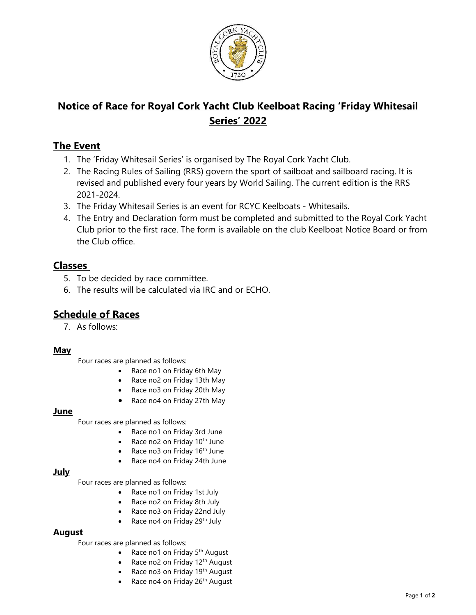

# Notice of Race for Royal Cork Yacht Club Keelboat Racing 'Friday Whitesail Series' 2022

### The Event

- 1. The 'Friday Whitesail Series' is organised by The Royal Cork Yacht Club.
- 2. The Racing Rules of Sailing (RRS) govern the sport of sailboat and sailboard racing. It is revised and published every four years by World Sailing. The current edition is the RRS 2021-2024.
- 3. The Friday Whitesail Series is an event for RCYC Keelboats Whitesails.
- 4. The Entry and Declaration form must be completed and submitted to the Royal Cork Yacht Club prior to the first race. The form is available on the club Keelboat Notice Board or from the Club office.

### Classes

- 5. To be decided by race committee.
- 6. The results will be calculated via IRC and or ECHO.

## Schedule of Races

7. As follows:

#### May

Four races are planned as follows:

- Race no1 on Friday 6th May
- Race no2 on Friday 13th May
- Race no3 on Friday 20th May
- Race no4 on Friday 27th May

#### June

Four races are planned as follows:

- Race no1 on Friday 3rd June
- Race no2 on Friday  $10^{th}$  June
- Race no3 on Friday  $16<sup>th</sup>$  June
- Race no4 on Friday 24th June

### July

Four races are planned as follows:

- Race no1 on Friday 1st July
- Race no2 on Friday 8th July
- Race no3 on Friday 22nd July
- Race no4 on Friday 29<sup>th</sup> July

### August

Four races are planned as follows:

- Race no1 on Friday  $5<sup>th</sup>$  August
- Race no2 on Friday  $12<sup>th</sup>$  August
- Race no3 on Friday 19<sup>th</sup> August
- Race no4 on Friday 26<sup>th</sup> August